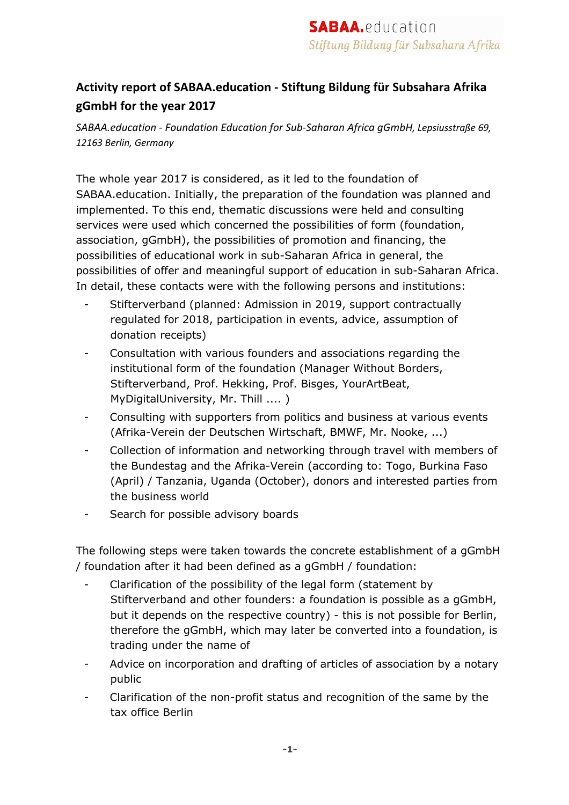## **Activity report of SABAA.education - Stiftung Bildung für Subsahara Afrika gGmbH for the year 2017**

*SABAA.education - Foundation Education for Sub-Saharan Africa gGmbH, Lepsiusstraße 69, 12163 Berlin, Germany*

The whole year 2017 is considered, as it led to the foundation of SABAA.education. Initially, the preparation of the foundation was planned and implemented. To this end, thematic discussions were held and consulting services were used which concerned the possibilities of form (foundation, association, gGmbH), the possibilities of promotion and financing, the possibilities of educational work in sub-Saharan Africa in general, the possibilities of offer and meaningful support of education in sub-Saharan Africa. In detail, these contacts were with the following persons and institutions:

- Stifterverband (planned: Admission in 2019, support contractually regulated for 2018, participation in events, advice, assumption of donation receipts)
- Consultation with various founders and associations regarding the institutional form of the foundation (Manager Without Borders, Stifterverband, Prof. Hekking, Prof. Bisges, YourArtBeat, MyDigitalUniversity, Mr. Thill .... )
- Consulting with supporters from politics and business at various events (Afrika-Verein der Deutschen Wirtschaft, BMWF, Mr. Nooke, ...)
- Collection of information and networking through travel with members of the Bundestag and the Afrika-Verein (according to: Togo, Burkina Faso (April) / Tanzania, Uganda (October), donors and interested parties from the business world
- Search for possible advisory boards

The following steps were taken towards the concrete establishment of a gGmbH / foundation after it had been defined as a gGmbH / foundation:

- Clarification of the possibility of the legal form (statement by Stifterverband and other founders: a foundation is possible as a gGmbH, but it depends on the respective country) - this is not possible for Berlin, therefore the gGmbH, which may later be converted into a foundation, is trading under the name of
- Advice on incorporation and drafting of articles of association by a notary public
- Clarification of the non-profit status and recognition of the same by the tax office Berlin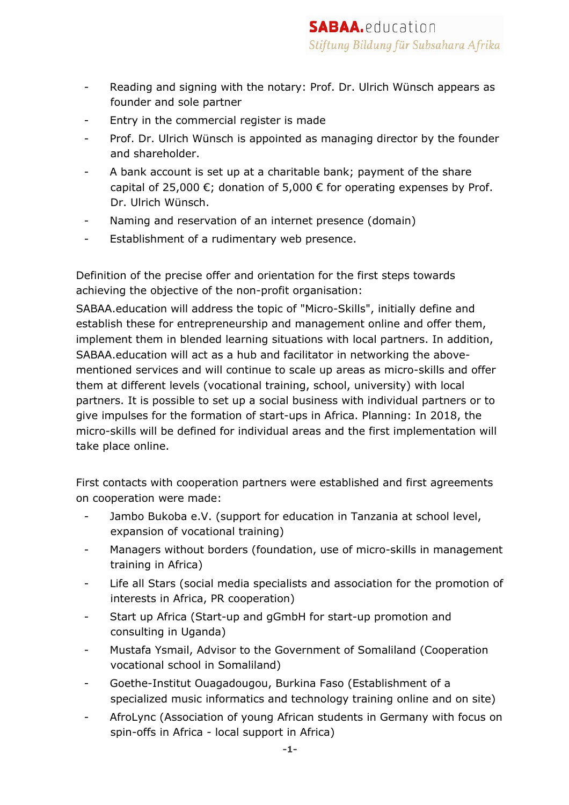- Reading and signing with the notary: Prof. Dr. Ulrich Wünsch appears as founder and sole partner
- Entry in the commercial register is made
- Prof. Dr. Ulrich Wünsch is appointed as managing director by the founder and shareholder.
- A bank account is set up at a charitable bank; payment of the share capital of 25,000  $\epsilon$ ; donation of 5,000  $\epsilon$  for operating expenses by Prof. Dr. Ulrich Wünsch.
- Naming and reservation of an internet presence (domain)
- Establishment of a rudimentary web presence.

Definition of the precise offer and orientation for the first steps towards achieving the objective of the non-profit organisation:

SABAA.education will address the topic of "Micro-Skills", initially define and establish these for entrepreneurship and management online and offer them, implement them in blended learning situations with local partners. In addition, SABAA.education will act as a hub and facilitator in networking the abovementioned services and will continue to scale up areas as micro-skills and offer them at different levels (vocational training, school, university) with local partners. It is possible to set up a social business with individual partners or to give impulses for the formation of start-ups in Africa. Planning: In 2018, the micro-skills will be defined for individual areas and the first implementation will take place online.

First contacts with cooperation partners were established and first agreements on cooperation were made:

- Jambo Bukoba e.V. (support for education in Tanzania at school level, expansion of vocational training)
- Managers without borders (foundation, use of micro-skills in management training in Africa)
- Life all Stars (social media specialists and association for the promotion of interests in Africa, PR cooperation)
- Start up Africa (Start-up and gGmbH for start-up promotion and consulting in Uganda)
- Mustafa Ysmail, Advisor to the Government of Somaliland (Cooperation vocational school in Somaliland)
- Goethe-Institut Ouagadougou, Burkina Faso (Establishment of a specialized music informatics and technology training online and on site)
- AfroLync (Association of young African students in Germany with focus on spin-offs in Africa - local support in Africa)